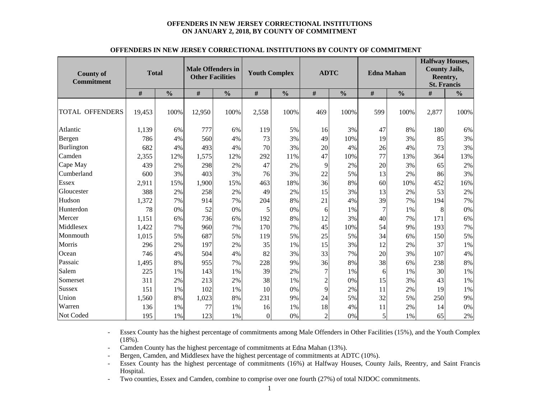#### **OFFENDERS IN NEW JERSEY CORRECTIONAL INSTITUTIONS ON JANUARY 2, 2018, BY COUNTY OF COMMITMENT**

| <b>County of</b><br><b>Commitment</b> | <b>Total</b> |               | <b>Male Offenders in</b><br><b>Other Facilities</b> |               | <b>Youth Complex</b> |               | <b>ADTC</b>    |               | <b>Edna Mahan</b><br>$\#$<br>$\frac{0}{0}$ |      | <b>Halfway Houses,</b><br><b>County Jails,</b><br>Reentry,<br><b>St. Francis</b> |               |  |
|---------------------------------------|--------------|---------------|-----------------------------------------------------|---------------|----------------------|---------------|----------------|---------------|--------------------------------------------|------|----------------------------------------------------------------------------------|---------------|--|
|                                       | #            | $\frac{0}{0}$ | #                                                   | $\frac{0}{0}$ | #                    | $\frac{0}{0}$ | #              | $\frac{0}{0}$ |                                            |      | #                                                                                | $\frac{0}{0}$ |  |
| <b>TOTAL OFFENDERS</b>                | 19,453       | 100%          | 12,950                                              | 100%          | 2,558                | 100%          | 469            | 100%          | 599                                        | 100% | 2,877                                                                            | 100%          |  |
| Atlantic                              | 1,139        | 6%            | 777                                                 | 6%            | 119                  | 5%            | 16             | 3%            | 47                                         | 8%   | 180                                                                              | 6%            |  |
| Bergen                                | 786          | 4%            | 560                                                 | 4%            | 73                   | 3%            | 49             | 10%           | 19                                         | 3%   | 85                                                                               | 3%            |  |
| Burlington                            | 682          | 4%            | 493                                                 | 4%            | 70                   | 3%            | 20             | 4%            | 26                                         | 4%   | 73                                                                               | 3%            |  |
| Camden                                | 2,355        | 12%           | 1,575                                               | 12%           | 292                  | 11%           | 47             | 10%           | 77                                         | 13%  | 364                                                                              | 13%           |  |
| Cape May                              | 439          | 2%            | 298                                                 | 2%            | 47                   | 2%            | 9              | 2%            | 20                                         | 3%   | 65                                                                               | 2%            |  |
| Cumberland                            | 600          | 3%            | 403                                                 | 3%            | 76                   | 3%            | 22             | 5%            | 13                                         | 2%   | 86                                                                               | 3%            |  |
| <b>Essex</b>                          | 2,911        | 15%           | 1,900                                               | 15%           | 463                  | 18%           | 36             | 8%            | 60                                         | 10%  | 452                                                                              | 16%           |  |
| Gloucester                            | 388          | 2%            | 258                                                 | 2%            | 49                   | 2%            | 15             | 3%            | 13                                         | 2%   | 53                                                                               | 2%            |  |
| Hudson                                | 1,372        | 7%            | 914                                                 | 7%            | 204                  | 8%            | 21             | 4%            | 39                                         | 7%   | 194                                                                              | 7%            |  |
| Hunterdon                             | 78           | 0%            | 52                                                  | 0%            | 5                    | 0%            | 6              | 1%            | 7                                          | 1%   | 8                                                                                | 0%            |  |
| Mercer                                | 1,151        | 6%            | 736                                                 | 6%            | 192                  | 8%            | 12             | 3%            | 40                                         | 7%   | 171                                                                              | 6%            |  |
| Middlesex                             | 1,422        | 7%            | 960                                                 | 7%            | 170                  | 7%            | 45             | 10%           | 54                                         | 9%   | 193                                                                              | 7%            |  |
| Monmouth                              | 1,015        | 5%            | 687                                                 | 5%            | 119                  | 5%            | 25             | 5%            | 34                                         | 6%   | 150                                                                              | 5%            |  |
| Morris                                | 296          | 2%            | 197                                                 | 2%            | 35                   | 1%            | 15             | 3%            | 12                                         | 2%   | 37                                                                               | 1%            |  |
| Ocean                                 | 746          | 4%            | 504                                                 | 4%            | 82                   | 3%            | 33             | 7%            | 20                                         | 3%   | 107                                                                              | 4%            |  |
| Passaic                               | 1,495        | 8%            | 955                                                 | 7%            | 228                  | 9%            | 36             | 8%            | 38                                         | 6%   | 238                                                                              | 8%            |  |
| Salem                                 | 225          | 1%            | 143                                                 | 1%            | 39                   | 2%            | 7              | $1\%$         | 6                                          | 1%   | 30                                                                               | 1%            |  |
| Somerset                              | 311          | 2%            | 213                                                 | 2%            | 38                   | 1%            | $\overline{c}$ | 0%            | 15                                         | 3%   | 43                                                                               | 1%            |  |
| <b>Sussex</b>                         | 151          | 1%            | 102                                                 | 1%            | 10                   | 0%            | 9              | 2%            | 11                                         | 2%   | 19                                                                               | 1%            |  |
| Union                                 | 1,560        | 8%            | 1,023                                               | 8%            | 231                  | 9%            | 24             | 5%            | 32                                         | 5%   | 250                                                                              | 9%            |  |
| Warren                                | 136          | 1%            | 77                                                  | 1%            | 16                   | 1%            | 18             | 4%            | 11                                         | 2%   | 14                                                                               | $0\%$         |  |
| Not Coded                             | 195          | 1%            | 123                                                 | 1%            | $\overline{0}$       | 0%            | $\overline{2}$ | 0%            | 5                                          | 1%   | 65                                                                               | 2%            |  |

#### **OFFENDERS IN NEW JERSEY CORRECTIONAL INSTITUTIONS BY COUNTY OF COMMITMENT**

- Essex County has the highest percentage of commitments among Male Offenders in Other Facilities (15%), and the Youth Complex (18%).

- -Camden County has the highest percentage of commitments at Edna Mahan (13%).
- Bergen, Camden, and Middlesex have the highest percentage of commitments at ADTC (10%).
- - Essex County has the highest percentage of commitments (16%) at Halfway Houses, County Jails, Reentry, and Saint Francis Hospital.
- -Two counties, Essex and Camden, combine to comprise over one fourth (27%) of total NJDOC commitments.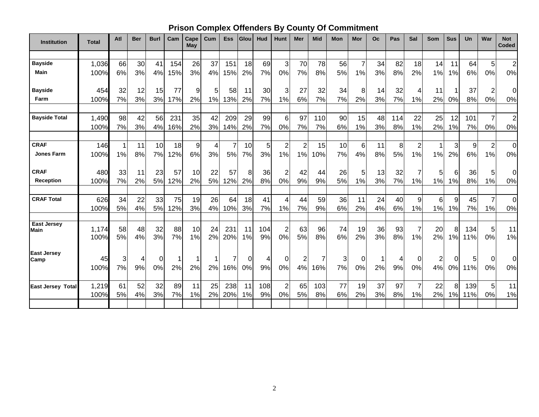# **Prison Complex Offenders By County Of Commitment**

| Institution              | <b>Total</b> | Atl | <b>Ber</b> | <b>Burl</b> | Cam         | Cape<br>May | Cum            | Ess            | Glou     | Hud | Hunt                    | Mer            | <b>Mid</b>     | Mon | Mor             | Oc | Pas | Sal              | <b>Som</b> | <b>Sus</b> | <b>Un</b> | War            | <b>Not</b><br><b>Coded</b> |
|--------------------------|--------------|-----|------------|-------------|-------------|-------------|----------------|----------------|----------|-----|-------------------------|----------------|----------------|-----|-----------------|----|-----|------------------|------------|------------|-----------|----------------|----------------------------|
|                          |              |     |            |             |             |             |                |                |          |     |                         |                |                |     |                 |    |     |                  |            |            |           |                |                            |
| <b>Bayside</b>           | 1,036        | 66  | 30         | 41          | 154         | 26          | 37             | 151            | 18       | 69  | 3                       | 70             | 78             | 56  | $\overline{7}$  | 34 | 82  | 18               | 14         | 11         | 64        | 5              | $\overline{2}$             |
| Main                     | 100%         | 6%  | 3%         | 4%          | 15%         | 3%          | 4%             | 15%            | 2%       | 7%  | 0%                      | 7%             | 8%             | 5%  | 1%              | 3% | 8%  | 2%               | 1%         | 1%         | 6%        | 0%             | 0%                         |
| <b>Bayside</b>           | 454          | 32  | 12         | 15          | 77          | 9           | 5              | 58             | 11       | 30  | 3                       | 27             | 32             | 34  | 8               | 14 | 32  | $\boldsymbol{4}$ | 11         |            | 37        | $\overline{2}$ | 0                          |
| Farm                     | 100%         | 7%  | 3%         | 3%          | 17%         | 2%          | 1%             | 13%            | 2%       | 7%  | 1%                      | 6%             | 7%             | 7%  | 2%              | 3% | 7%  | 1%               | 2%         | 0%         | 8%        | 0%             | 0%                         |
| <b>Bayside Total</b>     | 1,490        | 98  | 42         | 56          | 231         | 35          | 42             | 209            | 29       | 99  | 6                       | 97             | 110            | 90  | 15              | 48 | 114 | 22               | 25         | 12         | 101       | 7              | $\overline{c}$             |
|                          | 100%         | 7%  | 3%         | 4%          | 16%         | 2%          | 3%             | 14%            | 2%       | 7%  | 0%                      | 7%             | 7%             | 6%  | 1%              | 3% | 8%  | 1%               | 2%         | 1%         | 7%        | 0%             | 0%                         |
| <b>CRAF</b>              | 146          | 1   | 11         | 10          | 18          | 9           | $\overline{4}$ | $\overline{7}$ | 10       | 5   | $\overline{c}$          | $\overline{2}$ | 15             | 10  | $6\phantom{1}6$ | 11 | 8   | $\mathbf 2$      | 1          | 3          | 9         | $\overline{2}$ | $\pmb{0}$                  |
| Jones Farm               | 100%         | 1%  | 8%         | 7%          | 12%         | 6%          | 3%             | 5%             | 7%       | 3%  | 1%                      | 1%             | 10%            | 7%  | 4%              | 8% | 5%  | 1%               | 1%         | 2%         | 6%        | 1%             | 0%                         |
| <b>CRAF</b>              | 480          | 33  | 11         | 23          | 57          | 10          | 22             | 57             | 8        | 36  | $\overline{2}$          | 42             | 44             | 26  | 5               | 13 | 32  | $\overline{7}$   | 5          | 6          | 36        | 5              | $\mathbf 0$                |
| Reception                | 100%         | 7%  | 2%         | 5%          | 12%         | 2%          | 5%             | 12%            | 2%       | 8%  | 0%                      | 9%             | 9%             | 5%  | 1%              | 3% | 7%  | 1%               | 1%         | 1%         | 8%        | 1%             | 0%                         |
| <b>CRAF Total</b>        | 626          | 34  | 22         | 33          | 75          | 19          | 26             | 64             | 18       | 41  | 4                       | 44             | 59             | 36  | 11              | 24 | 40  | 9                | 6          | 9          | 45        | $\overline{7}$ | $\pmb{0}$                  |
|                          | 100%         | 5%  | 4%         | 5%          | 12%         | 3%          | 4%             | 10%            | 3%       | 7%  | 1%                      | 7%             | 9%             | 6%  | 2%              | 4% | 6%  | 1%               | 1%         | 1%         | 7%        | 1%             | 0%                         |
| <b>East Jersey</b>       | 1,174        | 58  | 48         | 32          | 88          | 10          | 24             | 231            | 11       | 104 | $\overline{\mathbf{c}}$ | 63             | 96             | 74  | 19              | 36 | 93  | $\overline{7}$   | 20         | 8          | 134       | 5              | 11                         |
| <b>Main</b>              | 100%         | 5%  | 4%         | 3%          | 7%          | 1%          | 2%             | 20%            | 1%       | 9%  | 0%                      | 5%             | 8%             | 6%  | 2%              | 3% | 8%  | 1%               | 2%         | 1%         | 11%       | 0%             | 1%                         |
| <b>East Jersey</b>       | 45           | 3   | 4          | $\Omega$    | $\mathbf 1$ |             | -1             | 7              | $\Omega$ | 4   | 0                       | $\overline{c}$ | $\overline{7}$ | 3   | 0               | 1  | 4   | $\Omega$         | 2          | 0          | 5         | $\mathbf 0$    | $\mathbf 0$                |
| Camp                     | 100%         | 7%  | 9%         | 0%          | 2%          | 2%          | 2%             | 16%            | 0%       | 9%  | 0%                      | 4%             | 16%            | 7%  | 0%              | 2% | 9%  | 0%               | 4%         | 0%         | 11%       | 0%             | $0\%$                      |
| <b>East Jersey Total</b> | 1,219        | 61  | 52         | 32          | 89          | 11          | 25             | 238            | 11       | 108 | $\overline{2}$          | 65             | 103            | 77  | 19              | 37 | 97  | $\overline{7}$   | 22         | 8          | 139       | 5              | 11                         |
|                          | 100%         | 5%  | 4%         | 3%          | 7%          | 1%          | 2%             | 20%            | 1%       | 9%  | 0%                      | 5%             | 8%             | 6%  | 2%              | 3% | 8%  | 1%               | 2%         | 1%         | 11%       | 0%             | 1%                         |
|                          |              |     |            |             |             |             |                |                |          |     |                         |                |                |     |                 |    |     |                  |            |            |           |                |                            |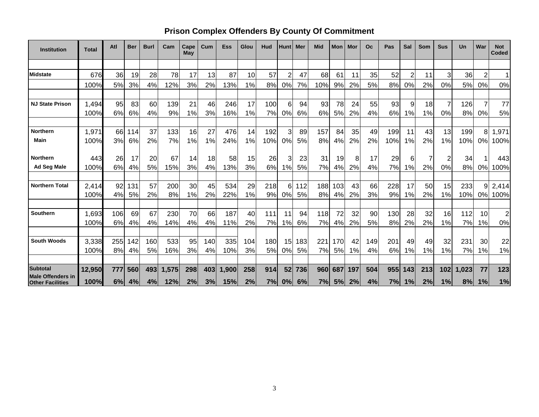# **Prison Complex Offenders By County Of Commitment**

| <b>Institution</b>                                  | <b>Total</b> | Atl | <b>Ber</b> | <b>Burl</b> | Cam   | Cape<br>May | Cum | <b>Ess</b> | Glou | Hud | <b>Hunt</b>    | Mer | <b>Mid</b> | <b>Mon</b> | Mor | Oc  | Pas | Sal | Som | <b>Sus</b>     | Un    | War            | <b>Not</b><br><b>Coded</b> |
|-----------------------------------------------------|--------------|-----|------------|-------------|-------|-------------|-----|------------|------|-----|----------------|-----|------------|------------|-----|-----|-----|-----|-----|----------------|-------|----------------|----------------------------|
|                                                     |              |     |            |             |       |             |     |            |      |     |                |     |            |            |     |     |     |     |     |                |       |                |                            |
| <b>Midstate</b>                                     | 676          | 36  | 19         | 28          | 78    | 17          | 13  | 87         | 10   | 57  | $\overline{2}$ | 47  | 68         | 61         | 11  | 35  | 52  | 2   | 11  | 3              | 36    | $\overline{2}$ | 1                          |
|                                                     | 100%         | 5%  | 3%         | 4%          | 12%   | 3%          | 2%  | 13%        | 1%   | 8%  | 0%             | 7%  | 10%        | 9%         | 2%  | 5%  | 8%  | 0%  | 2%  | 0%             | 5%    | 0%             | 0%                         |
|                                                     |              |     |            |             |       |             |     |            |      |     |                |     |            |            |     |     |     |     |     |                |       |                |                            |
| <b>NJ State Prison</b>                              | 1,494        | 95  | 83         | 60          | 139   | 21          | 46  | 246        | 17   | 100 | 6              | 94  | 93         | 78         | 24  | 55  | 93  | 9   | 18  | $\overline{7}$ | 126   |                | 77                         |
|                                                     | 100%         | 6%  | 6%         | 4%          | 9%    | 1%          | 3%  | 16%        | 1%   | 7%  | 0%             | 6%  | 6%         | 5%         | 2%  | 4%  | 6%  | 1%  | 1%  | 0%             | 8%    | 0%             | 5%                         |
|                                                     |              |     |            |             |       |             |     |            |      |     |                |     |            |            |     |     |     |     |     |                |       |                |                            |
| Northern                                            | 1,971        | 66  | 114        | 37          | 133   | 16          | 27  | 476        | 14   | 192 | 3              | 89  | 157        | 84         | 35  | 49  | 199 | 11  | 43  | 13             | 199   | 8              | 1,971                      |
| Main                                                | 100%         | 3%  | 6%         | 2%          | 7%    | 1%          | 1%  | 24%        | 1%   | 10% | 0%             | 5%  | 8%         | 4%         | 2%  | 2%  | 10% | 1%  | 2%  | 1%             | 10%   | 0%             | 100%                       |
|                                                     |              |     |            |             |       |             |     |            |      |     |                |     |            |            |     |     |     |     |     |                |       |                |                            |
| <b>Northern</b>                                     | 443          | 26  | 17         | 20          | 67    | 14          | 18  | 58         | 15   | 26  | 3              | 23  | 31         | 19         | 8   | 17  | 29  | 6   | 7   | $\overline{2}$ | 34    |                | 443                        |
| Ad Seg Male                                         | 100%         | 6%  | 4%         | 5%          | 15%   | 3%          | 4%  | 13%        | 3%   | 6%  | 1%             | 5%  | 7%         | 4%         | 2%  | 4%  | 7%  | 1%  | 2%  | 0%             | 8%    | 0%             | 100%                       |
| <b>Northern Total</b>                               | 2,414        | 92  | 131        | 57          | 200   | 30          | 45  | 534        | 29   | 218 | 6              | 112 | 188        | 103        | 43  | 66  | 228 | 17  | 50  | 15             | 233   | 9              | 2,414                      |
|                                                     | 100%         | 4%  | 5%         | 2%          | 8%    | 1%          | 2%  | 22%        | 1%   | 9%  | 0%             | 5%  | 8%         | 4%         | 2%  | 3%  | 9%  | 1%  | 2%  | 1%             | 10%   | 0%             | 100%                       |
|                                                     |              |     |            |             |       |             |     |            |      |     |                |     |            |            |     |     |     |     |     |                |       |                |                            |
| <b>Southern</b>                                     | 1,693        | 106 | 69         | 67          | 230   | 70          | 66  | 187        | 40   | 111 | 11             | 94  | 118        | 72         | 32  | 90  | 130 | 28  | 32  | 16             | 112   | 10             | $\overline{2}$             |
|                                                     | 100%         | 6%  | 4%         | 4%          | 14%   | 4%          | 4%  | 11%        | 2%   | 7%  | 1%             | 6%  | 7%         | 4%         | 2%  | 5%  | 8%  | 2%  | 2%  | 1%             | 7%    | 1%             | 0%                         |
|                                                     |              |     |            |             |       |             |     |            |      |     |                |     |            |            |     |     |     |     |     |                |       |                |                            |
| <b>South Woods</b>                                  | 3,338        | 255 | 142        | 160         | 533   | 95          | 140 | 335        | 104  | 180 | 15             | 183 | 221        | 170        | 42  | 149 | 201 | 49  | 49  | 32             | 231   | 30             | 22                         |
|                                                     | 100%         | 8%  | 4%         | 5%          | 16%   | 3%          | 4%  | 10%        | 3%   | 5%  | 0%             | 5%  | 7%         | 5%         | 1%  | 4%  | 6%  | 1%  | 1%  | 1%             | 7%    | 1%             | 1%                         |
|                                                     |              |     |            |             |       |             |     |            |      |     |                |     |            |            |     |     |     |     |     |                |       |                |                            |
| <b>Subtotal</b>                                     | 12,950       | 777 | 560        | 493         | 1,575 | 298         | 403 | 1,900      | 258  | 914 | 52             | 736 | 960        | 687        | 197 | 504 | 955 | 143 | 213 | 102            | 1,023 | 77             | 123                        |
| <b>Male Offenders in</b><br><b>Other Facilities</b> | 100%         | 6%  | 4%         | 4%          | 12%   | 2%          | 3%  | 15%        | 2%   | 7%  | 0%             | 6%  | 7%         | 5%         | 2%  | 4%  | 7%  | 1%  | 2%  | 1%             | 8%    | 1%             | 1%                         |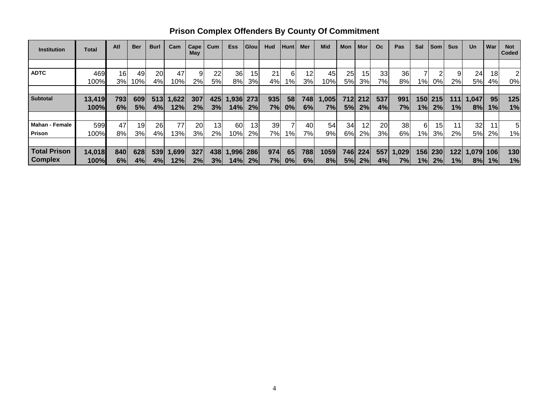| <b>Institution</b>    | Total  | Atl | <b>Ber</b> | <b>Burl</b> | Cam   | Cape<br>May | Cum   | <b>Ess</b> | <b>Glou</b> | Hud | <b>Hunt</b> | Mer | <b>Mid</b> | Mon | Mor | <b>Oc</b> | Pas   | Sal               | <b>Som</b> | <b>Sus</b> | <b>Un</b> | War | <b>Not</b><br>Coded |
|-----------------------|--------|-----|------------|-------------|-------|-------------|-------|------------|-------------|-----|-------------|-----|------------|-----|-----|-----------|-------|-------------------|------------|------------|-----------|-----|---------------------|
|                       |        |     |            |             |       |             |       |            |             |     |             |     |            |     |     |           |       |                   |            |            |           |     |                     |
| <b>ADTC</b>           | 469    | 16  | 49         | 20          | 47    | 9           | 22    | 36         | 15          | 21  | 6           | 12  | 45         | 25  | 15  | 33        | 36    |                   |            |            | 24        | 18  | 2                   |
|                       | 100%   | 3%  | 10%        | 4%          | 10%   | 2%          | 5%    | 8%l        | 3%          | 4%  | $1\%$       | 3%  | 10%        | 5%  | 3%  | 7%        | 8%    | $1\%$             | 0%         | 2%         | 5%        | 4%  | 0%                  |
|                       |        |     |            |             |       |             |       |            |             |     |             |     |            |     |     |           |       |                   |            |            |           |     |                     |
| <b>Subtotal</b>       | 13,419 | 793 | 609        | 513         | 1,622 | 307         | 425   | .936       | 273         | 935 | 58          | 748 | 005, ا     | 712 | 212 | 537       | 991   | 150               | 215        | 111        | 1,047     | 95  | 125                 |
|                       | 100%   | 6%  | 5%         | 4%          | 12%   | 2%          | 3%    | 14%        | 2%          | 7%  | 0%          | 6%  | 7%         | 5%  | 2%  | 4%        | 7%    | 1%                | 2%         | 1%         | 8%        | 1%  | 1%                  |
|                       |        |     |            |             |       |             |       |            |             |     |             |     |            |     |     |           |       |                   |            |            |           |     |                     |
| <b>Mahan - Female</b> | 599    | 47  | 19         | 26          | 77    | 20          | 13    | 60         | 13          | 39  |             | 40  | 54         | 34  | 12  | 20        | 38    | 6                 | 15         |            | 32        |     | 5                   |
| <b>Prison</b>         | 100%   | 8%  | 3%         | 4%          | 13%   | 3%          | $2\%$ | 10%        | 2%          | 7%l | 1%          | 7%  | 9%         | 6%  | 2%  | 3%        | 6%    | 1% $\blacksquare$ | 3%         | 2%         | 5%        | 2%  | $1\%$               |
|                       |        |     |            |             |       |             |       |            |             |     |             |     |            |     |     |           |       |                   |            |            |           |     |                     |
| <b>Total Prison</b>   | 14,018 | 840 | 628        | 539         | 1,699 | 327         | 438   | .996       | 286         | 974 | 65          | 788 | 1059       | 746 | 224 | 557       | 1,029 | 156               | 230        | 122        | 1,079     | 106 | 130                 |
| <b>Complex</b>        | 100%   | 6%  | 4%         | 4%          | 12%   | 2%          | 3%    | 14%l       | 2%          | 7%  | 0%          | 6%  | 8%         | 5%  | 2%  | 4%        | 7%    | 1%                | 2%         | 1%         | 8%        | 1%  | 1%                  |

**Prison Complex Offenders By County Of Commitment**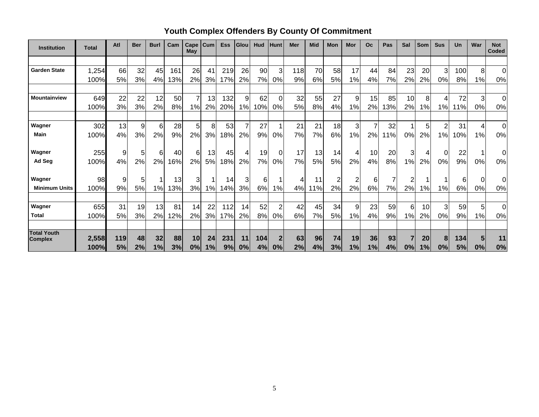| <b>Institution</b>   | <b>Total</b> | Atl | <b>Ber</b> | <b>Burl</b> | Cam | Cape<br>May    | Cum | <b>Ess</b> | Glou | Hud | Hunt           | Mer | <b>Mid</b> | Mon | Mor | Oc             | Pas | Sal            | Som | <b>Sus</b> | Un  | War      | <b>Not</b><br><b>Coded</b> |
|----------------------|--------------|-----|------------|-------------|-----|----------------|-----|------------|------|-----|----------------|-----|------------|-----|-----|----------------|-----|----------------|-----|------------|-----|----------|----------------------------|
|                      |              |     |            |             |     |                |     |            |      |     |                |     |            |     |     |                |     |                |     |            |     |          |                            |
| <b>Garden State</b>  | 1,254        | 66  | 32         | 45          | 161 | 26             | 41  | 219        | 26   | 90  | 3              | 118 | 70         | 58  | 17  | 44             | 84  | 23             | 20  | 3          | 100 | 8        | $\Omega$                   |
|                      | 100%         | 5%  | 3%         | 4%          | 13% | 2%             | 3%  | 17%        | 2%   | 7%  | 0%             | 9%  | 6%         | 5%  | 1%  | 4%             | 7%  | 2%             | 2%  | 0%         | 8%  | 1%       | 0%                         |
|                      |              |     |            |             |     |                |     |            |      |     |                |     |            |     |     |                |     |                |     |            |     |          |                            |
| Mountainview         | 649          | 22  | 22         | 12          | 50  | $\overline{7}$ | 13  | 132        | 9    | 62  | $\Omega$       | 32  | 55         | 27  | 9   | 15             | 85  | 10             | 8   | 4          | 72  | 3        | $\mathbf 0$                |
|                      | 100%         | 3%  | 3%         | 2%          | 8%  | 1%             | 2%  | 20%        | 1%   | 10% | 0%             | 5%  | 8%         | 4%  | 1%  | 2%             | 13% | 2%             | 1%  | 1%         | 11% | 0%       | 0%                         |
| Wagner               | 302          | 13  | 9          | 6           | 28  | 5              | 8   | 53         | 7    | 27  |                | 21  | 21         | 18  | 3   | $\overline{7}$ | 32  |                | 5   | 2          | 31  | 4        | 0                          |
| Main                 | 100%         | 4%  | 3%         | 2%          | 9%  | 2%             | 3%  | 18%        | 2%   | 9%  | 0%             | 7%  | 7%         | 6%  | 1%  | 2%             | 11% | 0%             | 2%  | 1%         | 10% | 1%       | 0%                         |
|                      |              |     |            |             |     |                |     |            |      |     |                |     |            |     |     |                |     |                |     |            |     |          |                            |
| Wagner               | 255          | 9   | 5          | 6           | 40  | 6              | 13  | 45         | 4    | 19  | 0              | 17  | 13         | 14  | 4   | 10             | 20  | 3              | 4   | 0          | 22  |          | 0                          |
| Ad Seg               | 100%         | 4%  | 2%         | 2%          | 16% | 2%             | 5%  | 18%        | 2%   | 7%  | 0%             | 7%  | 5%         | 5%  | 2%  | 4%             | 8%  | 1%             | 2%  | 0%         | 9%  | 0%       | 0%                         |
| Wagner               | 98           | 9   | 5          |             | 13  | 3              |     | 14         | 3    | 6   |                | 4   | 11         | 2   |     | 6              | 7   |                |     |            | 6   | $\Omega$ | 0                          |
| <b>Minimum Units</b> | 100%         | 9%  | 5%         | 1%          | 13% | 3%             | 1%  | 14%        | 3%   | 6%  | 1%             | 4%  | 11%        | 2%  | 2%  | 6%             | 7%  | 2%             | 1%  | 1%         | 6%  | 0%       | 0%                         |
|                      |              |     |            |             |     |                |     |            |      |     |                |     |            |     |     |                |     |                |     |            |     |          |                            |
| Wagner               | 655          | 31  | 19         | 13          | 81  | 14             | 22  | 112        | 14   | 52  | $\overline{2}$ | 42  | 45         | 34  | 9   | 23             | 59  | 6 <sup>1</sup> | 10  | 3          | 59  | 5        | $\Omega$                   |
| <b>Total</b>         | 100%         | 5%  | 3%         | 2%          | 12% | 2%             | 3%  | 17%        | 2%   | 8%  | 0%             | 6%  | 7%         | 5%  | 1%  | 4%             | 9%  | 1%             | 2%  | 0%         | 9%  | 1%       | $0\%$                      |
| <b>Total Youth</b>   |              |     |            |             |     |                |     |            |      |     |                |     |            |     |     |                |     |                |     |            |     |          |                            |
| <b>Complex</b>       | 2,558        | 119 | 48         | 32          | 88  | 10             | 24  | 231        | 11   | 104 |                | 63  | 96         | 74  | 19  | 36             | 93  |                | 20  | 8          | 134 | 5        | 11                         |
|                      | 100%         | 5%  | 2%         | 1%          | 3%  | 0%             | 1%  | 9%         | 0%   | 4%  | 0%             | 2%  | 4%         | 3%  | 1%  | 1%             | 4%  | 0%             | 1%  | 0%         | 5%  | 0%       | 0%                         |

**Youth Complex Offenders By County Of Commitment**